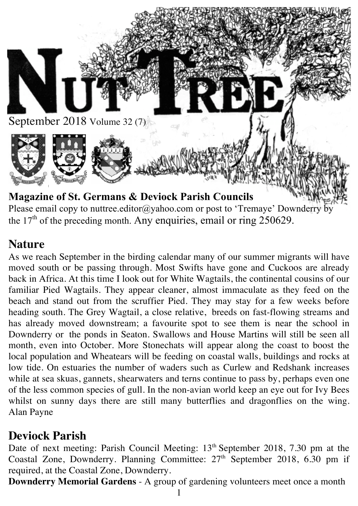

Please email copy to nuttree.editor@yahoo.com or post to 'Tremaye' Downderry by the  $17<sup>th</sup>$  of the preceding month. Any enquiries, email or ring 250629.

## **Nature**

As we reach September in the birding calendar many of our summer migrants will have moved south or be passing through. Most Swifts have gone and Cuckoos are already back in Africa. At this time I look out for White Wagtails, the continental cousins of our familiar Pied Wagtails. They appear cleaner, almost immaculate as they feed on the beach and stand out from the scruffier Pied. They may stay for a few weeks before heading south. The Grey Wagtail, a close relative, breeds on fast-flowing streams and has already moved downstream; a favourite spot to see them is near the school in Downderry or the ponds in Seaton. Swallows and House Martins will still be seen all month, even into October. More Stonechats will appear along the coast to boost the local population and Wheatears will be feeding on coastal walls, buildings and rocks at low tide. On estuaries the number of waders such as Curlew and Redshank increases while at sea skuas, gannets, shearwaters and terns continue to pass by, perhaps even one of the less common species of gull. In the non-avian world keep an eye out for Ivy Bees whilst on sunny days there are still many butterflies and dragonflies on the wing. Alan Payne

## **Deviock Parish**

Date of next meeting: Parish Council Meeting: 13<sup>th</sup> September 2018, 7.30 pm at the Coastal Zone, Downderry. Planning Committee: 27<sup>th</sup> September 2018, 6.30 pm if required, at the Coastal Zone, Downderry.

**Downderry Memorial Gardens** - A group of gardening volunteers meet once a month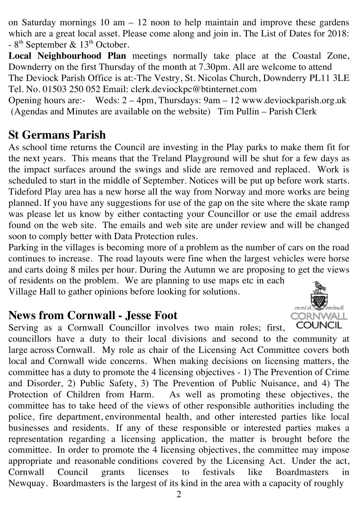on Saturday mornings 10 am  $-12$  noon to help maintain and improve these gardens which are a great local asset. Please come along and join in. The List of Dates for 2018:  $-8$ <sup>th</sup> September & 13<sup>th</sup> October.

**Local Neighbourhood Plan** meetings normally take place at the Coastal Zone, Downderry on the first Thursday of the month at 7.30pm. All are welcome to attend The Deviock Parish Office is at:-The Vestry, St. Nicolas Church, Downderry PL11 3LE Tel. No. 01503 250 052 Email: clerk.deviockpc@btinternet.com

Opening hours are:- Weds: 2 – 4pm, Thursdays: 9am – 12 www.deviockparish.org.uk (Agendas and Minutes are available on the website) Tim Pullin – Parish Clerk

## **St Germans Parish**

As school time returns the Council are investing in the Play parks to make them fit for the next years. This means that the Treland Playground will be shut for a few days as the impact surfaces around the swings and slide are removed and replaced. Work is scheduled to start in the middle of September. Notices will be put up before work starts. Tideford Play area has a new horse all the way from Norway and more works are being planned. If you have any suggestions for use of the gap on the site where the skate ramp was please let us know by either contacting your Councillor or use the email address found on the web site. The emails and web site are under review and will be changed soon to comply better with Data Protection rules.

Parking in the villages is becoming more of a problem as the number of cars on the road continues to increase. The road layouts were fine when the largest vehicles were horse and carts doing 8 miles per hour. During the Autumn we are proposing to get the views of residents on the problem. We are planning to use maps etc in each Village Hall to gather opinions before looking for solutions.

7<br>Гомен <u>hag oll</u>

CORNWALL

#### **News from Cornwall - Jesse Foot**

**COUNCIL** Serving as a Cornwall Councillor involves two main roles; first, councillors have a duty to their local divisions and second to the community at large across Cornwall. My role as chair of the Licensing Act Committee covers both local and Cornwall wide concerns. When making decisions on licensing matters, the committee has a duty to promote the 4 licensing objectives - 1) The Prevention of Crime and Disorder, 2) Public Safety, 3) The Prevention of Public Nuisance, and 4) The Protection of Children from Harm. As well as promoting these objectives, the committee has to take heed of the views of other responsible authorities including the police, fire department, environmental health, and other interested parties like local businesses and residents. If any of these responsible or interested parties makes a representation regarding a licensing application, the matter is brought before the committee. In order to promote the 4 licensing objectives, the committee may impose appropriate and reasonable conditions covered by the Licensing Act. Under the act, Cornwall Council grants licenses to festivals like Boardmasters in Newquay. Boardmasters is the largest of its kind in the area with a capacity of roughly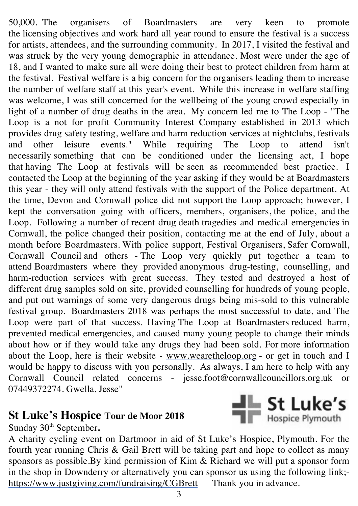50,000. The organisers of Boardmasters are very keen to promote the licensing objectives and work hard all year round to ensure the festival is a success for artists, attendees, and the surrounding community. In 2017, I visited the festival and was struck by the very young demographic in attendance. Most were under the age of 18, and I wanted to make sure all were doing their best to protect children from harm at the festival. Festival welfare is a big concern for the organisers leading them to increase the number of welfare staff at this year's event. While this increase in welfare staffing was welcome, I was still concerned for the wellbeing of the young crowd especially in light of a number of drug deaths in the area. My concern led me to The Loop - "The Loop is a not for profit Community Interest Company established in 2013 which provides drug safety testing, welfare and harm reduction services at nightclubs, festivals and other leisure events." While requiring The Loop to attend isn't necessarily something that can be conditioned under the licensing act, I hope that having The Loop at festivals will be seen as recommended best practice. I contacted the Loop at the beginning of the year asking if they would be at Boardmasters this year - they will only attend festivals with the support of the Police department. At the time, Devon and Cornwall police did not support the Loop approach; however, I kept the conversation going with officers, members, organisers, the police, and the Loop. Following a number of recent drug death tragedies and medical emergencies in Cornwall, the police changed their position, contacting me at the end of July, about a month before Boardmasters. With police support, Festival Organisers, Safer Cornwall, Cornwall Council and others - The Loop very quickly put together a team to attend Boardmasters where they provided anonymous drug-testing, counselling, and harm-reduction services with great success. They tested and destroyed a host of different drug samples sold on site, provided counselling for hundreds of young people, and put out warnings of some very dangerous drugs being mis-sold to this vulnerable festival group. Boardmasters 2018 was perhaps the most successful to date, and The Loop were part of that success. Having The Loop at Boardmasters reduced harm, prevented medical emergencies, and caused many young people to change their minds about how or if they would take any drugs they had been sold. For more information about the Loop, here is their website - www.wearetheloop.org - or get in touch and I would be happy to discuss with you personally. As always, I am here to help with any Cornwall Council related concerns - jesse.foot@cornwallcouncillors.org.uk or 07449372274. Gwella, Jesse"

#### **St Luke's Hospice Tour de Moor 2018**

Sunday 30<sup>th</sup> September.

A charity cycling event on Dartmoor in aid of St Luke's Hospice, Plymouth. For the fourth year running Chris & Gail Brett will be taking part and hope to collect as many sponsors as possible.By kind permission of Kim & Richard we will put a sponsor form in the shop in Downderry or alternatively you can sponsor us using the following link; https://www.justgiving.com/fundraising/CGBrett Thank you in advance.

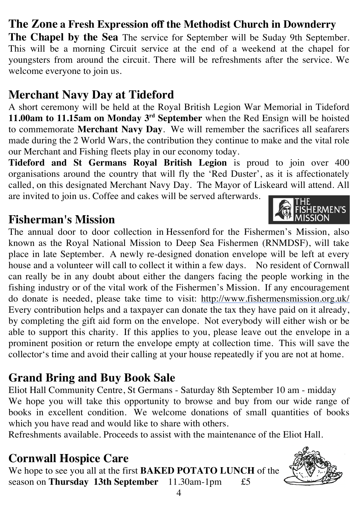## **The Zone a Fresh Expression off the Methodist Church in Downderry**

**The Chapel by the Sea** The service for September will be Suday 9th September. This will be a morning Circuit service at the end of a weekend at the chapel for youngsters from around the circuit. There will be refreshments after the service. We welcome everyone to join us.

## **Merchant Navy Day at Tideford**

A short ceremony will be held at the Royal British Legion War Memorial in Tideford **11.00am to 11.15am on Monday 3rd September** when the Red Ensign will be hoisted to commemorate **Merchant Navy Day**. We will remember the sacrifices all seafarers made during the 2 World Wars, the contribution they continue to make and the vital role our Merchant and Fishing fleets play in our economy today.

**Tideford and St Germans Royal British Legion** is proud to join over 400 organisations around the country that will fly the 'Red Duster', as it is affectionately called, on this designated Merchant Navy Day. The Mayor of Liskeard will attend. All are invited to join us. Coffee and cakes will be served afterwards.

#### **Fisherman's Mission**

The annual door to door collection in Hessenford for the Fishermen's Mission, also known as the Royal National Mission to Deep Sea Fishermen (RNMDSF), will take place in late September. A newly re-designed donation envelope will be left at every house and a volunteer will call to collect it within a few days. No resident of Cornwall can really be in any doubt about either the dangers facing the people working in the fishing industry or of the vital work of the Fishermen's Mission. If any encouragement do donate is needed, please take time to visit: http://www.fishermensmission.org.uk/ Every contribution helps and a taxpayer can donate the tax they have paid on it already, by completing the gift aid form on the envelope. Not everybody will either wish or be able to support this charity. If this applies to you, please leave out the envelope in a prominent position or return the envelope empty at collection time. This will save the collector's time and avoid their calling at your house repeatedly if you are not at home.

# **Grand Bring and Buy Book Sale**

Eliot Hall Community Centre, St Germans - Saturday 8th September 10 am - midday We hope you will take this opportunity to browse and buy from our wide range of books in excellent condition. We welcome donations of small quantities of books which you have read and would like to share with others.

Refreshments available. Proceeds to assist with the maintenance of the Eliot Hall.

# **Cornwall Hospice Care**

We hope to see you all at the first **BAKED POTATO LUNCH** of the season on **Thursday 13th September** 11.30am-1pm £5





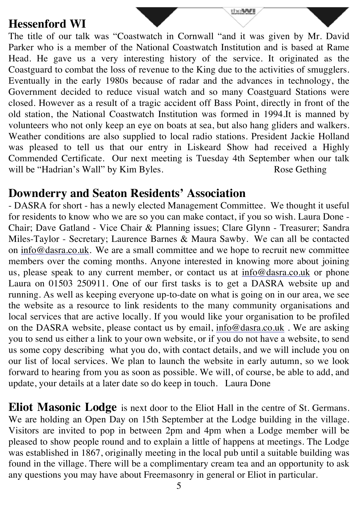#### **Hessenford WI**

The title of our talk was "Coastwatch in Cornwall "and it was given by Mr. David Parker who is a member of the National Coastwatch Institution and is based at Rame Head. He gave us a very interesting history of the service. It originated as the Coastguard to combat the loss of revenue to the King due to the activities of smugglers. Eventually in the early 1980s because of radar and the advances in technology, the Government decided to reduce visual watch and so many Coastguard Stations were closed. However as a result of a tragic accident off Bass Point, directly in front of the old station, the National Coastwatch Institution was formed in 1994.It is manned by volunteers who not only keep an eye on boats at sea, but also hang gliders and walkers. Weather conditions are also supplied to local radio stations. President Jackie Holland was pleased to tell us that our entry in Liskeard Show had received a Highly Commended Certificate. Our next meeting is Tuesday 4th September when our talk will be "Hadrian's Wall" by Kim Byles. Rose Gething

the **WI** 

#### **Downderry and Seaton Residents' Association**

- DASRA for short - has a newly elected Management Committee. We thought it useful for residents to know who we are so you can make contact, if you so wish. Laura Done - Chair; Dave Gatland - Vice Chair & Planning issues; Clare Glynn - Treasurer; Sandra Miles-Taylor - Secretary; Laurence Barnes & Maura Sawby. We can all be contacted on info@dasra.co.uk. We are a small committee and we hope to recruit new committee members over the coming months. Anyone interested in knowing more about joining us, please speak to any current member, or contact us at info@dasra.co.uk or phone Laura on 01503 250911. One of our first tasks is to get a DASRA website up and running. As well as keeping everyone up-to-date on what is going on in our area, we see the website as a resource to link residents to the many community organisations and local services that are active locally. If you would like your organisation to be profiled on the DASRA website, please contact us by email, info@dasra.co.uk . We are asking you to send us either a link to your own website, or if you do not have a website, to send us some copy describing what you do, with contact details, and we will include you on our list of local services. We plan to launch the website in early autumn, so we look forward to hearing from you as soon as possible. We will, of course, be able to add, and update, your details at a later date so do keep in touch. Laura Done

**Eliot Masonic Lodge** is next door to the Eliot Hall in the centre of St. Germans. We are holding an Open Day on 15th September at the Lodge building in the village. Visitors are invited to pop in between 2pm and 4pm when a Lodge member will be pleased to show people round and to explain a little of happens at meetings. The Lodge was established in 1867, originally meeting in the local pub until a suitable building was found in the village. There will be a complimentary cream tea and an opportunity to ask any questions you may have about Freemasonry in general or Eliot in particular.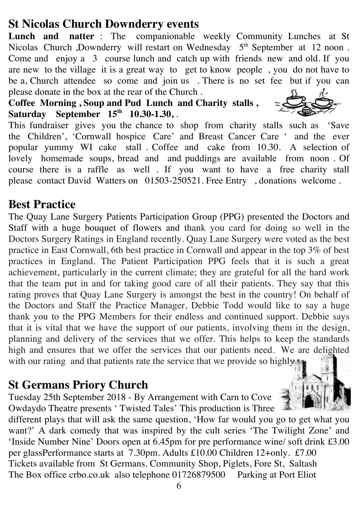## **St Nicolas Church Downderry events**

**Lunch and natter** : The companionable weekly Community Lunches at St Nicolas Church ,Downderry will restart on Wednesday 5<sup>th</sup> September at 12 noon. Come and enjoy a 3 course lunch and catch up with friends new and old. If you are new to the village it is a great way to get to know people , you do not have to be a, Church attendee so come and join us . There is no set fee but if you can please donate in the box at the rear of the Church .

**Coffee Morning , Soup and Pud Lunch and Charity stalls , Saturday September 15th 10.30-1.30,** .

This fundraiser gives you the chance to shop from charity stalls such as 'Save the Children', 'Cornwall hospice Care' and Breast Cancer Care ' and the ever popular yummy WI cake stall . Coffee and cake from 10.30. A selection of lovely homemade soups, bread and and puddings are available from noon . Of course there is a raffle as well . If you want to have a free charity stall please contact David Watters on 01503-250521. Free Entry , donations welcome .

#### **Best Practice**

The Quay Lane Surgery Patients Participation Group (PPG) presented the Doctors and Staff with a huge bouquet of flowers and thank you card for doing so well in the Doctors Surgery Ratings in England recently. Quay Lane Surgery were voted as the best practice in East Cornwall, 6th best practice in Cornwall and appear in the top 3% of best practices in England. The Patient Participation PPG feels that it is such a great achievement, particularly in the current climate; they are grateful for all the hard work that the team put in and for taking good care of all their patients. They say that this rating proves that Quay Lane Surgery is amongst the best in the country! On behalf of the Doctors and Staff the Practice Manager, Debbie Todd would like to say a huge thank you to the PPG Members for their endless and continued support. Debbie says that it is vital that we have the support of our patients, involving them in the design, planning and delivery of the services that we offer. This helps to keep the standards high and ensures that we offer the services that our patients need. We are delighted with our rating and that patients rate the service that we provide so highly.

#### **St Germans Priory Church**

Tuesday 25th September 2018 - By Arrangement with Carn to Cove Owdaydo Theatre presents ' Twisted Tales' This production is Three

different plays that will ask the same question, 'How far would you go to get what you want?' A dark comedy that was inspired by the cult series 'The Twilight Zone' and 'Inside Number Nine' Doors open at 6.45pm for pre performance wine/ soft drink £3.00 per glassPerformance starts at 7.30pm. Adults £10.00 Children 12+only. £7.00 Tickets available from St Germans. Community Shop, Piglets, Fore St, Saltash The Box office crbo.co.uk also telephone 01726879500 Parking at Port Eliot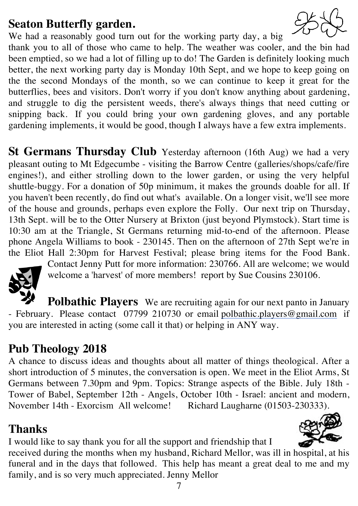## **Seaton Butterfly garden.**

We had a reasonably good turn out for the working party day, a big thank you to all of those who came to help. The weather was cooler, and the bin had been emptied, so we had a lot of filling up to do! The Garden is definitely looking much better, the next working party day is Monday 10th Sept, and we hope to keep going on the the second Mondays of the month, so we can continue to keep it great for the butterflies, bees and visitors. Don't worry if you don't know anything about gardening, and struggle to dig the persistent weeds, there's always things that need cutting or snipping back. If you could bring your own gardening gloves, and any portable gardening implements, it would be good, though I always have a few extra implements.

**St Germans Thursday Club** Yesterday afternoon (16th Aug) we had a very pleasant outing to Mt Edgecumbe - visiting the Barrow Centre (galleries/shops/cafe/fire engines!), and either strolling down to the lower garden, or using the very helpful shuttle-buggy. For a donation of 50p minimum, it makes the grounds doable for all. If you haven't been recently, do find out what's available. On a longer visit, we'll see more of the house and grounds, perhaps even explore the Folly. Our next trip on Thursday, 13th Sept. will be to the Otter Nursery at Brixton (just beyond Plymstock). Start time is 10:30 am at the Triangle, St Germans returning mid-to-end of the afternoon. Please phone Angela Williams to book - 230145. Then on the afternoon of 27th Sept we're in the Eliot Hall 2:30pm for Harvest Festival; please bring items for the Food Bank.



Contact Jenny Putt for more information: 230766. All are welcome; we would welcome a 'harvest' of more members! report by Sue Cousins 230106.

**Polbathic Players** We are recruiting again for our next panto in January - February. Please contact 07799 210730 or email polbathic.players@gmail.com if you are interested in acting (some call it that) or helping in ANY way.

## **Pub Theology 2018**

A chance to discuss ideas and thoughts about all matter of things theological. After a short introduction of 5 minutes, the conversation is open. We meet in the Eliot Arms, St Germans between 7.30pm and 9pm. Topics: Strange aspects of the Bible. July 18th - Tower of Babel, September 12th - Angels, October 10th - Israel: ancient and modern, November 14th - Exorcism All welcome! Richard Laugharne (01503-230333).

# **Thanks**

I would like to say thank you for all the support and friendship that I

received during the months when my husband, Richard Mellor, was ill in hospital, at his funeral and in the days that followed. This help has meant a great deal to me and my family, and is so very much appreciated. Jenny Mellor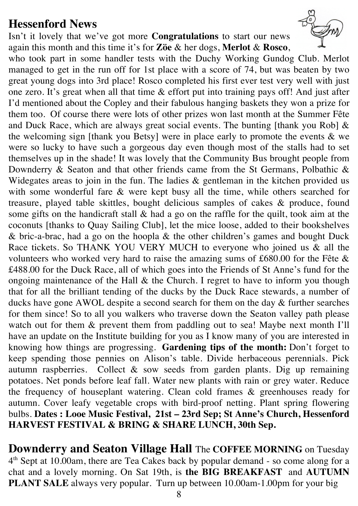#### **Hessenford News**

Isn't it lovely that we've got more **Congratulations** to start our news again this month and this time it's for **Zӧe** & her dogs, **Merlot** & **Rosco**,



**Downderry and Seaton Village Hall** The **COFFEE MORNING** on Tuesday 4<sup>th</sup> Sept at 10.00am, there are Tea Cakes back by popular demand - so come along for a chat and a lovely morning. On Sat 19th, is **the BIG BREAKFAST** and **AUTUMN PLANT SALE** always very popular. Turn up between 10.00am-1.00pm for your big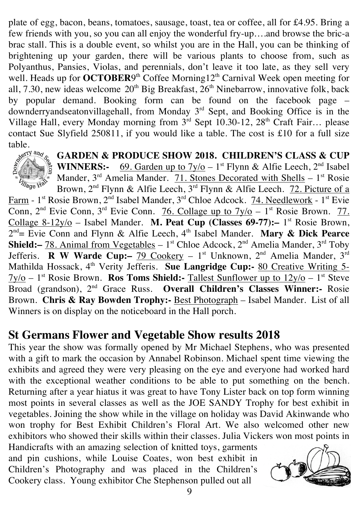plate of egg, bacon, beans, tomatoes, sausage, toast, tea or coffee, all for £4.95. Bring a few friends with you, so you can all enjoy the wonderful fry-up….and browse the bric-a brac stall. This is a double event, so whilst you are in the Hall, you can be thinking of brightening up your garden, there will be various plants to choose from, such as Polyanthus, Pansies, Violas, and perennials, don't leave it too late, as they sell very well. Heads up for **OCTOBER**9<sup>th</sup> Coffee Morning12<sup>th</sup> Carnival Week open meeting for all, 7.30, new ideas welcome  $20<sup>th</sup>$  Big Breakfast,  $26<sup>th</sup>$  Ninebarrow, innovative folk, back by popular demand. Booking form can be found on the facebook page – downderryandseatonvillagehall, from Monday 3<sup>rd</sup> Sept, and Booking Office is in the Village Hall, every Monday morning from  $3<sup>rd</sup>$  Sept 10.30-12, 28<sup>th</sup> Craft Fair... please contact Sue Slyfield 250811, if you would like a table. The cost is £10 for a full size



**GARDEN & PRODUCE SHOW 2018. CHILDREN'S CLASS & CUP WINNERS:-** 69. Garden up to  $7y/\text{o} - 1$ <sup>st</sup> Flynn & Alfie Leech,  $2^{nd}$  Isabel

Mander,  $3^{rd}$  Amelia Mander. 71. Stones Decorated with Shells -  $1^{st}$  Rosie Brown, 2<sup>nd</sup> Flynn & Alfie Leech, 3<sup>rd</sup> Flynn & Alfie Leech. 72. Picture of a Farm - 1<sup>st</sup> Rosie Brown, 2<sup>nd</sup> Isabel Mander, 3<sup>rd</sup> Chloe Adcock. 74. Needlework - 1<sup>st</sup> Evie Conn,  $2<sup>nd</sup> Evie Conn$ ,  $3<sup>rd</sup> Evie Conn$ . 76. Collage up to  $7y/o - 1<sup>st</sup> Rosie Brown$ . 77. Collage 8-12y/o – Isabel Mander. **M. Peat Cup (Classes 69-77):** – 1<sup>st</sup> Rosie Brown,

2<sup>nd</sup> = Evie Conn and Flynn & Alfie Leech, 4<sup>th</sup> Isabel Mander. **Mary & Dick Pearce Shield:**- 78. Animal from Vegetables - 1<sup>st</sup> Chloe Adcock, 2<sup>nd</sup> Amelia Mander, 3<sup>rd</sup> Toby Jefferis. **R W Warde Cup:**- 79 Cookery - 1<sup>st</sup> Unknown, 2<sup>nd</sup> Amelia Mander, 3<sup>rd</sup> Mathilda Hossack, 4<sup>th</sup> Verity Jefferis. Sue Langridge Cup:- 80 Creative Writing 5-7y/o – 1st Rosie Brown. **Ros Toms Shield:-** Tallest Sunflower up to 12y/o – 1st Steve Broad (grandson), 2nd Grace Russ. **Overall Children's Classes Winner:-** Rosie Brown. **Chris & Ray Bowden Trophy:-** Best Photograph – Isabel Mander. List of all Winners is on display on the noticeboard in the Hall porch.

#### **St Germans Flower and Vegetable Show results 2018**

This year the show was formally opened by Mr Michael Stephens, who was presented with a gift to mark the occasion by Annabel Robinson. Michael spent time viewing the exhibits and agreed they were very pleasing on the eye and everyone had worked hard with the exceptional weather conditions to be able to put something on the bench. Returning after a year hiatus it was great to have Tony Lister back on top form winning most points in several classes as well as the JOE SANDY Trophy for best exhibit in vegetables. Joining the show while in the village on holiday was David Akinwande who won trophy for Best Exhibit Children's Floral Art. We also welcomed other new exhibitors who showed their skills within their classes. Julia Vickers won most points in

Handicrafts with an amazing selection of knitted toys, garments and pin cushions, while Louise Coates, won best exhibit in Children's Photography and was placed in the Children's Cookery class. Young exhibitor Che Stephenson pulled out all

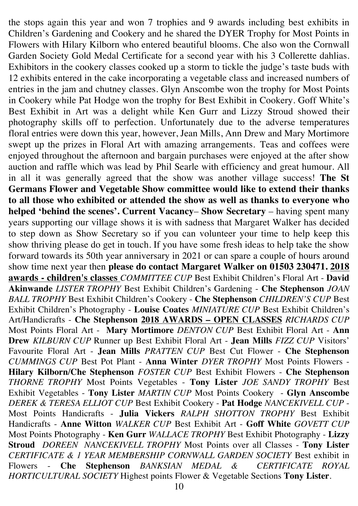the stops again this year and won 7 trophies and 9 awards including best exhibits in Children's Gardening and Cookery and he shared the DYER Trophy for Most Points in Flowers with Hilary Kilborn who entered beautiful blooms. Che also won the Cornwall Garden Society Gold Medal Certificate for a second year with his 3 Collerette dahlias. Exhibitors in the cookery classes cooked up a storm to tickle the judge's taste buds with 12 exhibits entered in the cake incorporating a vegetable class and increased numbers of entries in the jam and chutney classes. Glyn Anscombe won the trophy for Most Points in Cookery while Pat Hodge won the trophy for Best Exhibit in Cookery. Goff White's Best Exhibit in Art was a delight while Ken Gurr and Lizzy Stroud showed their photography skills off to perfection. Unfortunately due to the adverse temperatures floral entries were down this year, however, Jean Mills, Ann Drew and Mary Mortimore swept up the prizes in Floral Art with amazing arrangements. Teas and coffees were enjoyed throughout the afternoon and bargain purchases were enjoyed at the after show auction and raffle which was lead by Phil Searle with efficiency and great humour. All in all it was generally agreed that the show was another village success! **The St Germans Flower and Vegetable Show committee would like to extend their thanks to all those who exhibited or attended the show as well as thanks to everyone who helped 'behind the scenes'. Current Vacancy**– **Show Secretary** – having spent many years supporting our village shows it is with sadness that Margaret Walker has decided to step down as Show Secretary so if you can volunteer your time to help keep this show thriving please do get in touch. If you have some fresh ideas to help take the show forward towards its 50th year anniversary in 2021 or can spare a couple of hours around show time next year then **please do contact Margaret Walker on 01503 230471. 2018 awards - children's classes** *COMMITTEE CUP* Best Exhibit Children's Floral Art - **David Akinwande** *LISTER TROPHY* Best Exhibit Children's Gardening - **Che Stephenson** *JOAN BALL TROPHY* Best Exhibit Children's Cookery - **Che Stephenson** *CHILDREN'S CUP* Best Exhibit Children's Photography - **Louise Coates** *MINIATURE CUP* Best Exhibit Children's Art/Handicrafts - **Che Stephenson 2018 AWARDS – OPEN CLASSES** *RICHARDS CUP* Most Points Floral Art - **Mary Mortimore** *DENTON CUP* Best Exhibit Floral Art - **Ann Drew** *KILBURN CUP* Runner up Best Exhibit Floral Art - **Jean Mills** *FIZZ CUP* Visitors' Favourite Floral Art - **Jean Mills** *PRATTEN CUP* Best Cut Flower - **Che Stephenson** *CUMMINGS CUP* Best Pot Plant - **Anna Winter** *DYER TROPHY* Most Points Flowers - **Hilary Kilborn/Che Stephenson** *FOSTER CUP* Best Exhibit Flowers - **Che Stephenson** *THORNE TROPHY* Most Points Vegetables - **Tony Lister** *JOE SANDY TROPHY* Best Exhibit Vegetables - **Tony Lister** *MARTIN CUP* Most Points Cookery - **Glyn Anscombe** *DEREK & TERESA ELLIOT CUP* Best Exhibit Cookery - **Pat Hodge** *NANCEKIVELL CUP* - Most Points Handicrafts - **Julia Vickers** *RALPH SHOTTON TROPHY* Best Exhibit Handicrafts - **Anne Witton** *WALKER CUP* Best Exhibit Art - **Goff White** *GOVETT CUP* Most Points Photography - **Ken Gurr** *WALLACE TROPHY* Best Exhibit Photography - **Lizzy Stroud** *DOREEN NANCEKIVELL TROPHY* Most Points over all Classes - **Tony Lister** *CERTIFICATE & 1 YEAR MEMBERSHIP CORNWALL GARDEN SOCIETY* Best exhibit in Flowers - **Che Stephenson** *BANKSIAN MEDAL & CERTIFICATE ROYAL HORTICULTURAL SOCIETY* Highest points Flower & Vegetable Sections **Tony Lister**.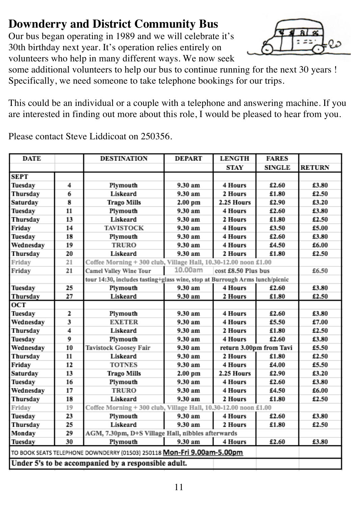# **Downderry and District Community Bus**

Our bus began operating in 1989 and we will celebrate it's 30th birthday next year. It's operation relies entirely on volunteers who help in many different ways. We now seek



some additional volunteers to help our bus to continue running for the next 30 years ! Specifically, we need someone to take telephone bookings for our trips.

This could be an individual or a couple with a telephone and answering machine. If you are interested in finding out more about this role, I would be pleased to hear from you.

Please contact Steve Liddicoat on 250356.

| <b>STAY</b><br><b>SINGLE</b><br><b>RETURN</b><br><b>SEPT</b><br>£3.80<br>4<br>Plymouth<br>9.30 am<br>4 Hours<br>£2.60<br>Tuesday<br>6<br>Liskeard<br>9.30 am<br>2 Hours<br>£1.80<br>£2.50<br>Thursday<br>8<br>2.25 Hours<br>£2.90<br>£3.20<br>Saturday<br><b>Trago Mills</b><br>2.00 pm<br>11<br>Tuesday<br>Plymouth<br>9.30 am<br>4 Hours<br>£2.60<br>£3.80<br>13<br>Liskeard<br>£2.50<br>9.30 am<br>£1.80<br>Thursday<br>2 Hours<br>14<br>Friday<br>£3.50<br>£5.00<br><b>TAVISTOCK</b><br>9.30 am<br>4 Hours<br>18<br>Tuesday<br>9.30 am<br>4 Hours<br>£3.80<br>Plymouth<br>£2.60<br>19<br>Wednesday<br><b>TRURO</b><br>9.30 am<br>£4.50<br>£6.00<br>4 Hours<br>20<br>Thursday<br>Liskeard<br>9.30 am<br>2 Hours<br>£1.80<br>£2.50<br>Coffee Morning + 300 club, Village Hall, 10.30-12.00 noon £1.00<br>Friday<br>21<br>10.00am<br>21<br>cost £8.50 Plus bus<br><b>Camel Valley Wine Tour</b><br>£6.50<br>Friday<br>tour 14:30, includes tasting+glass wine, stop at Burrough Arms lunch/picnic<br>9.30 am<br>25<br>4 Hours<br>£2.60<br>£3.80<br>Tuesday<br>Plymouth<br>Thursday<br>27<br>Liskeard<br>£1.80<br>£2.50<br>9.30 am<br>2 Hours<br>OCT<br>9.30 am<br>4 Hours<br>£3.80<br>Tuesday<br>2<br>Plymouth<br>£2.60<br>3<br>Wednesday<br><b>EXETER</b><br>£5.50<br>£7.00<br>9.30 am<br>4 Hours<br>4<br>Thursday<br>Liskeard<br>9.30 am<br>2 Hours<br>£1.80<br>£2.50<br>9<br>£2.60<br>£3.80<br>Tuesday<br>9.30 am<br>4 Hours<br>Plymouth<br>10<br>Tavistock Goosey Fair<br>return 3.00pm from Tavi<br>Wednesday<br>9.30 am<br>£5.50<br>11<br>2 Hours<br>£1.80<br>£2.50<br>Thursday<br>Liskeard<br>9.30 am<br>12<br>£4.00<br>£5.50<br>Friday<br><b>TOTNES</b><br>9.30 am<br>4 Hours<br>13<br>£3.20<br>Saturday<br><b>Trago Mills</b><br>2.00 pm<br>2.25 Hours<br>£2.90<br>16<br>£3.80<br>Tuesday<br>Plymouth<br>9.30 am<br>£2.60<br>4 Hours<br>17<br><b>TRURO</b><br>£4.50<br>£6.00<br>Wednesday<br>9.30 am<br>4 Hours<br>18<br>9.30 am<br>Thursday<br>Liskeard<br>2 Hours<br>£1.80<br>£2.50<br>19<br>Coffee Morning + 300 club, Village Hall, 10.30-12.00 noon £1.00<br>Friday<br>23<br>Plymouth<br>9.30 am<br>Tuesday<br>4 Hours<br>£2.60<br>£3.80<br>Liskeard<br>9.30 am<br>£1.80<br>£2.50<br>Thursday<br>25<br>2 Hours<br>Monday<br>AGM, 7.30pm, D+S Village Hall, nibbles afterwards<br>29<br>30<br>Plymouth<br>9.30 am<br>4 Hours<br>£2.60<br>£3.80<br>TO BOOK SEATS TELEPHONE DOWNDERRY (01503) 250118 Mon-Fri 9.00am-5.00pm | <b>DATE</b> |  | <b>DESTINATION</b> | <b>DEPART</b> | <b>LENGTH</b> | <b>FARES</b> |  |
|----------------------------------------------------------------------------------------------------------------------------------------------------------------------------------------------------------------------------------------------------------------------------------------------------------------------------------------------------------------------------------------------------------------------------------------------------------------------------------------------------------------------------------------------------------------------------------------------------------------------------------------------------------------------------------------------------------------------------------------------------------------------------------------------------------------------------------------------------------------------------------------------------------------------------------------------------------------------------------------------------------------------------------------------------------------------------------------------------------------------------------------------------------------------------------------------------------------------------------------------------------------------------------------------------------------------------------------------------------------------------------------------------------------------------------------------------------------------------------------------------------------------------------------------------------------------------------------------------------------------------------------------------------------------------------------------------------------------------------------------------------------------------------------------------------------------------------------------------------------------------------------------------------------------------------------------------------------------------------------------------------------------------------------------------------------------------------------------------------------------------------------------------------------------------------------------------------------------------------------------------------------------------------------------------------------------------------------------------------------------------------------------------------------------------------------|-------------|--|--------------------|---------------|---------------|--------------|--|
|                                                                                                                                                                                                                                                                                                                                                                                                                                                                                                                                                                                                                                                                                                                                                                                                                                                                                                                                                                                                                                                                                                                                                                                                                                                                                                                                                                                                                                                                                                                                                                                                                                                                                                                                                                                                                                                                                                                                                                                                                                                                                                                                                                                                                                                                                                                                                                                                                                        |             |  |                    |               |               |              |  |
|                                                                                                                                                                                                                                                                                                                                                                                                                                                                                                                                                                                                                                                                                                                                                                                                                                                                                                                                                                                                                                                                                                                                                                                                                                                                                                                                                                                                                                                                                                                                                                                                                                                                                                                                                                                                                                                                                                                                                                                                                                                                                                                                                                                                                                                                                                                                                                                                                                        |             |  |                    |               |               |              |  |
|                                                                                                                                                                                                                                                                                                                                                                                                                                                                                                                                                                                                                                                                                                                                                                                                                                                                                                                                                                                                                                                                                                                                                                                                                                                                                                                                                                                                                                                                                                                                                                                                                                                                                                                                                                                                                                                                                                                                                                                                                                                                                                                                                                                                                                                                                                                                                                                                                                        |             |  |                    |               |               |              |  |
|                                                                                                                                                                                                                                                                                                                                                                                                                                                                                                                                                                                                                                                                                                                                                                                                                                                                                                                                                                                                                                                                                                                                                                                                                                                                                                                                                                                                                                                                                                                                                                                                                                                                                                                                                                                                                                                                                                                                                                                                                                                                                                                                                                                                                                                                                                                                                                                                                                        |             |  |                    |               |               |              |  |
|                                                                                                                                                                                                                                                                                                                                                                                                                                                                                                                                                                                                                                                                                                                                                                                                                                                                                                                                                                                                                                                                                                                                                                                                                                                                                                                                                                                                                                                                                                                                                                                                                                                                                                                                                                                                                                                                                                                                                                                                                                                                                                                                                                                                                                                                                                                                                                                                                                        |             |  |                    |               |               |              |  |
|                                                                                                                                                                                                                                                                                                                                                                                                                                                                                                                                                                                                                                                                                                                                                                                                                                                                                                                                                                                                                                                                                                                                                                                                                                                                                                                                                                                                                                                                                                                                                                                                                                                                                                                                                                                                                                                                                                                                                                                                                                                                                                                                                                                                                                                                                                                                                                                                                                        |             |  |                    |               |               |              |  |
|                                                                                                                                                                                                                                                                                                                                                                                                                                                                                                                                                                                                                                                                                                                                                                                                                                                                                                                                                                                                                                                                                                                                                                                                                                                                                                                                                                                                                                                                                                                                                                                                                                                                                                                                                                                                                                                                                                                                                                                                                                                                                                                                                                                                                                                                                                                                                                                                                                        |             |  |                    |               |               |              |  |
|                                                                                                                                                                                                                                                                                                                                                                                                                                                                                                                                                                                                                                                                                                                                                                                                                                                                                                                                                                                                                                                                                                                                                                                                                                                                                                                                                                                                                                                                                                                                                                                                                                                                                                                                                                                                                                                                                                                                                                                                                                                                                                                                                                                                                                                                                                                                                                                                                                        |             |  |                    |               |               |              |  |
|                                                                                                                                                                                                                                                                                                                                                                                                                                                                                                                                                                                                                                                                                                                                                                                                                                                                                                                                                                                                                                                                                                                                                                                                                                                                                                                                                                                                                                                                                                                                                                                                                                                                                                                                                                                                                                                                                                                                                                                                                                                                                                                                                                                                                                                                                                                                                                                                                                        |             |  |                    |               |               |              |  |
|                                                                                                                                                                                                                                                                                                                                                                                                                                                                                                                                                                                                                                                                                                                                                                                                                                                                                                                                                                                                                                                                                                                                                                                                                                                                                                                                                                                                                                                                                                                                                                                                                                                                                                                                                                                                                                                                                                                                                                                                                                                                                                                                                                                                                                                                                                                                                                                                                                        |             |  |                    |               |               |              |  |
|                                                                                                                                                                                                                                                                                                                                                                                                                                                                                                                                                                                                                                                                                                                                                                                                                                                                                                                                                                                                                                                                                                                                                                                                                                                                                                                                                                                                                                                                                                                                                                                                                                                                                                                                                                                                                                                                                                                                                                                                                                                                                                                                                                                                                                                                                                                                                                                                                                        |             |  |                    |               |               |              |  |
|                                                                                                                                                                                                                                                                                                                                                                                                                                                                                                                                                                                                                                                                                                                                                                                                                                                                                                                                                                                                                                                                                                                                                                                                                                                                                                                                                                                                                                                                                                                                                                                                                                                                                                                                                                                                                                                                                                                                                                                                                                                                                                                                                                                                                                                                                                                                                                                                                                        |             |  |                    |               |               |              |  |
|                                                                                                                                                                                                                                                                                                                                                                                                                                                                                                                                                                                                                                                                                                                                                                                                                                                                                                                                                                                                                                                                                                                                                                                                                                                                                                                                                                                                                                                                                                                                                                                                                                                                                                                                                                                                                                                                                                                                                                                                                                                                                                                                                                                                                                                                                                                                                                                                                                        |             |  |                    |               |               |              |  |
|                                                                                                                                                                                                                                                                                                                                                                                                                                                                                                                                                                                                                                                                                                                                                                                                                                                                                                                                                                                                                                                                                                                                                                                                                                                                                                                                                                                                                                                                                                                                                                                                                                                                                                                                                                                                                                                                                                                                                                                                                                                                                                                                                                                                                                                                                                                                                                                                                                        |             |  |                    |               |               |              |  |
|                                                                                                                                                                                                                                                                                                                                                                                                                                                                                                                                                                                                                                                                                                                                                                                                                                                                                                                                                                                                                                                                                                                                                                                                                                                                                                                                                                                                                                                                                                                                                                                                                                                                                                                                                                                                                                                                                                                                                                                                                                                                                                                                                                                                                                                                                                                                                                                                                                        |             |  |                    |               |               |              |  |
|                                                                                                                                                                                                                                                                                                                                                                                                                                                                                                                                                                                                                                                                                                                                                                                                                                                                                                                                                                                                                                                                                                                                                                                                                                                                                                                                                                                                                                                                                                                                                                                                                                                                                                                                                                                                                                                                                                                                                                                                                                                                                                                                                                                                                                                                                                                                                                                                                                        |             |  |                    |               |               |              |  |
|                                                                                                                                                                                                                                                                                                                                                                                                                                                                                                                                                                                                                                                                                                                                                                                                                                                                                                                                                                                                                                                                                                                                                                                                                                                                                                                                                                                                                                                                                                                                                                                                                                                                                                                                                                                                                                                                                                                                                                                                                                                                                                                                                                                                                                                                                                                                                                                                                                        |             |  |                    |               |               |              |  |
|                                                                                                                                                                                                                                                                                                                                                                                                                                                                                                                                                                                                                                                                                                                                                                                                                                                                                                                                                                                                                                                                                                                                                                                                                                                                                                                                                                                                                                                                                                                                                                                                                                                                                                                                                                                                                                                                                                                                                                                                                                                                                                                                                                                                                                                                                                                                                                                                                                        |             |  |                    |               |               |              |  |
|                                                                                                                                                                                                                                                                                                                                                                                                                                                                                                                                                                                                                                                                                                                                                                                                                                                                                                                                                                                                                                                                                                                                                                                                                                                                                                                                                                                                                                                                                                                                                                                                                                                                                                                                                                                                                                                                                                                                                                                                                                                                                                                                                                                                                                                                                                                                                                                                                                        |             |  |                    |               |               |              |  |
|                                                                                                                                                                                                                                                                                                                                                                                                                                                                                                                                                                                                                                                                                                                                                                                                                                                                                                                                                                                                                                                                                                                                                                                                                                                                                                                                                                                                                                                                                                                                                                                                                                                                                                                                                                                                                                                                                                                                                                                                                                                                                                                                                                                                                                                                                                                                                                                                                                        |             |  |                    |               |               |              |  |
|                                                                                                                                                                                                                                                                                                                                                                                                                                                                                                                                                                                                                                                                                                                                                                                                                                                                                                                                                                                                                                                                                                                                                                                                                                                                                                                                                                                                                                                                                                                                                                                                                                                                                                                                                                                                                                                                                                                                                                                                                                                                                                                                                                                                                                                                                                                                                                                                                                        |             |  |                    |               |               |              |  |
|                                                                                                                                                                                                                                                                                                                                                                                                                                                                                                                                                                                                                                                                                                                                                                                                                                                                                                                                                                                                                                                                                                                                                                                                                                                                                                                                                                                                                                                                                                                                                                                                                                                                                                                                                                                                                                                                                                                                                                                                                                                                                                                                                                                                                                                                                                                                                                                                                                        |             |  |                    |               |               |              |  |
|                                                                                                                                                                                                                                                                                                                                                                                                                                                                                                                                                                                                                                                                                                                                                                                                                                                                                                                                                                                                                                                                                                                                                                                                                                                                                                                                                                                                                                                                                                                                                                                                                                                                                                                                                                                                                                                                                                                                                                                                                                                                                                                                                                                                                                                                                                                                                                                                                                        |             |  |                    |               |               |              |  |
|                                                                                                                                                                                                                                                                                                                                                                                                                                                                                                                                                                                                                                                                                                                                                                                                                                                                                                                                                                                                                                                                                                                                                                                                                                                                                                                                                                                                                                                                                                                                                                                                                                                                                                                                                                                                                                                                                                                                                                                                                                                                                                                                                                                                                                                                                                                                                                                                                                        |             |  |                    |               |               |              |  |
|                                                                                                                                                                                                                                                                                                                                                                                                                                                                                                                                                                                                                                                                                                                                                                                                                                                                                                                                                                                                                                                                                                                                                                                                                                                                                                                                                                                                                                                                                                                                                                                                                                                                                                                                                                                                                                                                                                                                                                                                                                                                                                                                                                                                                                                                                                                                                                                                                                        |             |  |                    |               |               |              |  |
|                                                                                                                                                                                                                                                                                                                                                                                                                                                                                                                                                                                                                                                                                                                                                                                                                                                                                                                                                                                                                                                                                                                                                                                                                                                                                                                                                                                                                                                                                                                                                                                                                                                                                                                                                                                                                                                                                                                                                                                                                                                                                                                                                                                                                                                                                                                                                                                                                                        |             |  |                    |               |               |              |  |
|                                                                                                                                                                                                                                                                                                                                                                                                                                                                                                                                                                                                                                                                                                                                                                                                                                                                                                                                                                                                                                                                                                                                                                                                                                                                                                                                                                                                                                                                                                                                                                                                                                                                                                                                                                                                                                                                                                                                                                                                                                                                                                                                                                                                                                                                                                                                                                                                                                        |             |  |                    |               |               |              |  |
|                                                                                                                                                                                                                                                                                                                                                                                                                                                                                                                                                                                                                                                                                                                                                                                                                                                                                                                                                                                                                                                                                                                                                                                                                                                                                                                                                                                                                                                                                                                                                                                                                                                                                                                                                                                                                                                                                                                                                                                                                                                                                                                                                                                                                                                                                                                                                                                                                                        |             |  |                    |               |               |              |  |
|                                                                                                                                                                                                                                                                                                                                                                                                                                                                                                                                                                                                                                                                                                                                                                                                                                                                                                                                                                                                                                                                                                                                                                                                                                                                                                                                                                                                                                                                                                                                                                                                                                                                                                                                                                                                                                                                                                                                                                                                                                                                                                                                                                                                                                                                                                                                                                                                                                        |             |  |                    |               |               |              |  |
|                                                                                                                                                                                                                                                                                                                                                                                                                                                                                                                                                                                                                                                                                                                                                                                                                                                                                                                                                                                                                                                                                                                                                                                                                                                                                                                                                                                                                                                                                                                                                                                                                                                                                                                                                                                                                                                                                                                                                                                                                                                                                                                                                                                                                                                                                                                                                                                                                                        |             |  |                    |               |               |              |  |
|                                                                                                                                                                                                                                                                                                                                                                                                                                                                                                                                                                                                                                                                                                                                                                                                                                                                                                                                                                                                                                                                                                                                                                                                                                                                                                                                                                                                                                                                                                                                                                                                                                                                                                                                                                                                                                                                                                                                                                                                                                                                                                                                                                                                                                                                                                                                                                                                                                        |             |  |                    |               |               |              |  |
|                                                                                                                                                                                                                                                                                                                                                                                                                                                                                                                                                                                                                                                                                                                                                                                                                                                                                                                                                                                                                                                                                                                                                                                                                                                                                                                                                                                                                                                                                                                                                                                                                                                                                                                                                                                                                                                                                                                                                                                                                                                                                                                                                                                                                                                                                                                                                                                                                                        |             |  |                    |               |               |              |  |
|                                                                                                                                                                                                                                                                                                                                                                                                                                                                                                                                                                                                                                                                                                                                                                                                                                                                                                                                                                                                                                                                                                                                                                                                                                                                                                                                                                                                                                                                                                                                                                                                                                                                                                                                                                                                                                                                                                                                                                                                                                                                                                                                                                                                                                                                                                                                                                                                                                        | Tuesday     |  |                    |               |               |              |  |
|                                                                                                                                                                                                                                                                                                                                                                                                                                                                                                                                                                                                                                                                                                                                                                                                                                                                                                                                                                                                                                                                                                                                                                                                                                                                                                                                                                                                                                                                                                                                                                                                                                                                                                                                                                                                                                                                                                                                                                                                                                                                                                                                                                                                                                                                                                                                                                                                                                        |             |  |                    |               |               |              |  |
| Under 5's to be accompanied by a responsible adult.                                                                                                                                                                                                                                                                                                                                                                                                                                                                                                                                                                                                                                                                                                                                                                                                                                                                                                                                                                                                                                                                                                                                                                                                                                                                                                                                                                                                                                                                                                                                                                                                                                                                                                                                                                                                                                                                                                                                                                                                                                                                                                                                                                                                                                                                                                                                                                                    |             |  |                    |               |               |              |  |